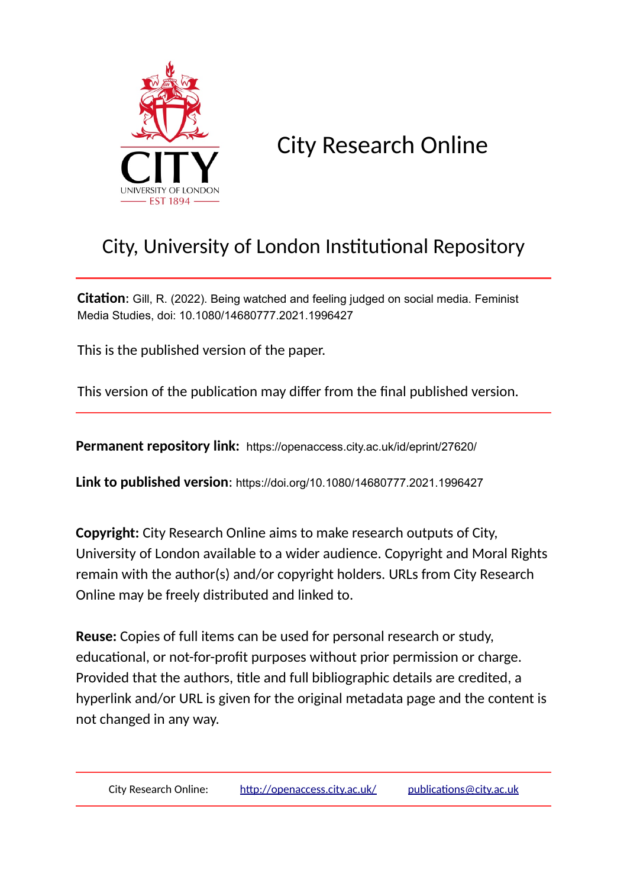

# City Research Online

# City, University of London Institutional Repository

**Citation**: Gill, R. (2022). Being watched and feeling judged on social media. Feminist Media Studies, doi: 10.1080/14680777.2021.1996427

This is the published version of the paper.

This version of the publication may differ from the final published version.

**Permanent repository link:** https://openaccess.city.ac.uk/id/eprint/27620/

**Link to published version**: https://doi.org/10.1080/14680777.2021.1996427

**Copyright:** City Research Online aims to make research outputs of City, University of London available to a wider audience. Copyright and Moral Rights remain with the author(s) and/or copyright holders. URLs from City Research Online may be freely distributed and linked to.

**Reuse:** Copies of full items can be used for personal research or study, educational, or not-for-profit purposes without prior permission or charge. Provided that the authors, title and full bibliographic details are credited, a hyperlink and/or URL is given for the original metadata page and the content is not changed in any way.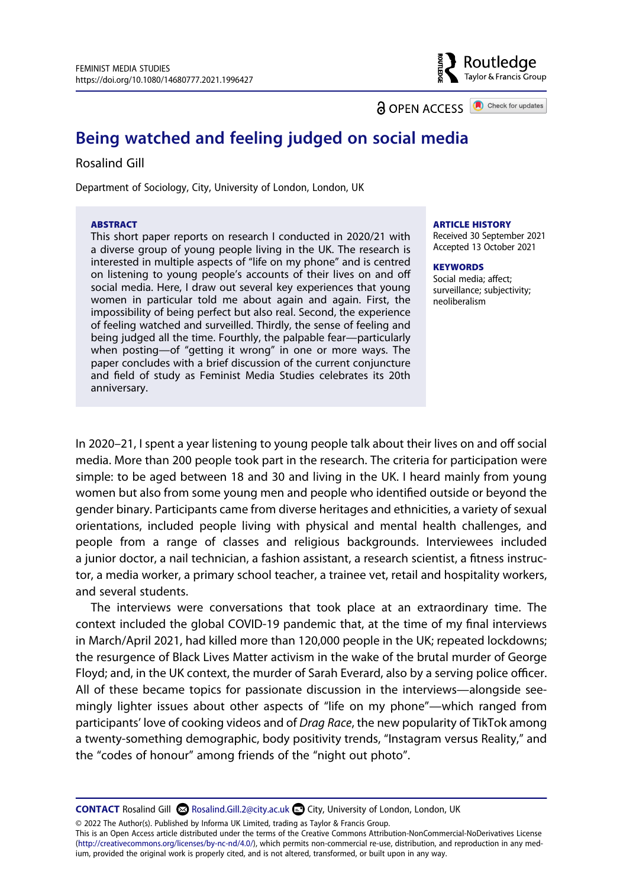**a** OPEN ACCESS **a** Check for updates

Routledge Taylor & Francis Group

# **Being watched and feeling judged on social media**

#### Rosalind Gill

Department of Sociology, City, University of London, London, UK

#### **ABSTRACT**

This short paper reports on research I conducted in 2020/21 with a diverse group of young people living in the UK. The research is interested in multiple aspects of "life on my phone" and is centred on listening to young people's accounts of their lives on and off social media. Here, I draw out several key experiences that young women in particular told me about again and again. First, the impossibility of being perfect but also real. Second, the experience of feeling watched and surveilled. Thirdly, the sense of feeling and being judged all the time. Fourthly, the palpable fear—particularly when posting—of "getting it wrong" in one or more ways. The paper concludes with a brief discussion of the current conjuncture and field of study as Feminist Media Studies celebrates its 20th anniversary.

#### **ARTICLE HISTORY**

Received 30 September 2021 Accepted 13 October 2021

#### **KEYWORDS**

Social media; affect; surveillance; subjectivity; neoliberalism

In 2020–21, I spent a year listening to young people talk about their lives on and off social media. More than 200 people took part in the research. The criteria for participation were simple: to be aged between 18 and 30 and living in the UK. I heard mainly from young women but also from some young men and people who identified outside or beyond the gender binary. Participants came from diverse heritages and ethnicities, a variety of sexual orientations, included people living with physical and mental health challenges, and people from a range of classes and religious backgrounds. Interviewees included a junior doctor, a nail technician, a fashion assistant, a research scientist, a fitness instructor, a media worker, a primary school teacher, a trainee vet, retail and hospitality workers, and several students.

The interviews were conversations that took place at an extraordinary time. The context included the global COVID-19 pandemic that, at the time of my final interviews in March/April 2021, had killed more than 120,000 people in the UK; repeated lockdowns; the resurgence of Black Lives Matter activism in the wake of the brutal murder of George Floyd; and, in the UK context, the murder of Sarah Everard, also by a serving police officer. All of these became topics for passionate discussion in the interviews—alongside seemingly lighter issues about other aspects of "life on my phone"—which ranged from participants' love of cooking videos and of *Drag Race*, the new popularity of TikTok among a twenty-something demographic, body positivity trends, "Instagram versus Reality," and the "codes of honour" among friends of the "night out photo".

CONTACT Rosalind Gill <sup>©</sup> Rosalind.Gill.2@city.ac.uk <sup>■</sup> City, University of London, London, UK

© 2022 The Author(s). Published by Informa UK Limited, trading as Taylor & Francis Group.

This is an Open Access article distributed under the terms of the Creative Commons Attribution-NonCommercial-NoDerivatives License (http://creativecommons.org/licenses/by-nc-nd/4.0/), which permits non-commercial re-use, distribution, and reproduction in any medium, provided the original work is properly cited, and is not altered, transformed, or built upon in any way.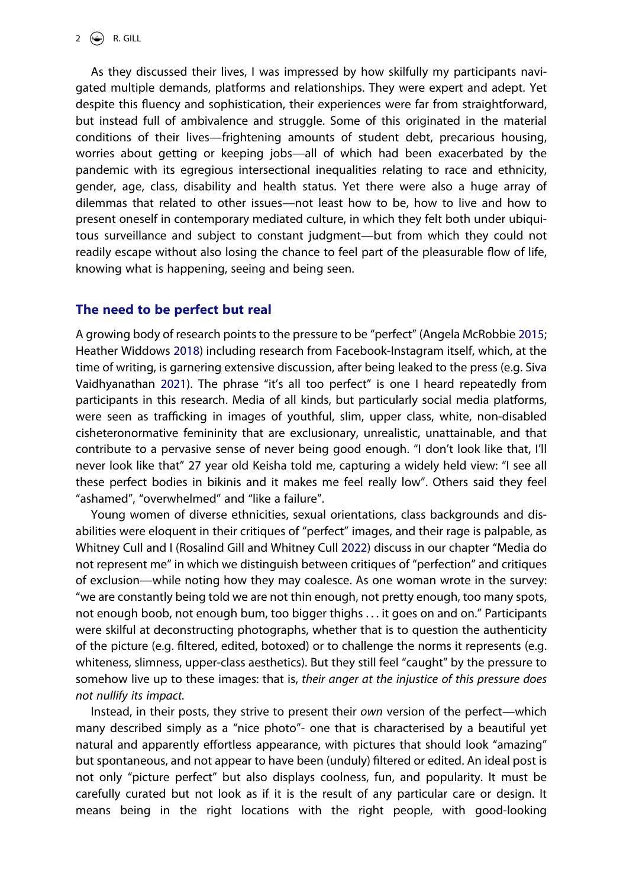As they discussed their lives, I was impressed by how skilfully my participants navigated multiple demands, platforms and relationships. They were expert and adept. Yet despite this fluency and sophistication, their experiences were far from straightforward, but instead full of ambivalence and struggle. Some of this originated in the material conditions of their lives—frightening amounts of student debt, precarious housing, worries about getting or keeping jobs—all of which had been exacerbated by the pandemic with its egregious intersectional inequalities relating to race and ethnicity, gender, age, class, disability and health status. Yet there were also a huge array of dilemmas that related to other issues—not least how to be, how to live and how to present oneself in contemporary mediated culture, in which they felt both under ubiquitous surveillance and subject to constant judgment—but from which they could not readily escape without also losing the chance to feel part of the pleasurable flow of life, knowing what is happening, seeing and being seen.

### **The need to be perfect but real**

<span id="page-2-3"></span><span id="page-2-2"></span><span id="page-2-1"></span>A growing body of research points to the pressure to be "perfect" (Angela McRobbie [2015](#page-6-0); Heather Widdows [2018](#page-6-1)) including research from Facebook-Instagram itself, which, at the time of writing, is garnering extensive discussion, after being leaked to the press (e.g. Siva Vaidhyanathan [2021\)](#page-6-2). The phrase "it's all too perfect" is one I heard repeatedly from participants in this research. Media of all kinds, but particularly social media platforms, were seen as trafficking in images of youthful, slim, upper class, white, non-disabled cisheteronormative femininity that are exclusionary, unrealistic, unattainable, and that contribute to a pervasive sense of never being good enough. "I don't look like that, I'll never look like that" 27 year old Keisha told me, capturing a widely held view: "I see all these perfect bodies in bikinis and it makes me feel really low". Others said they feel "ashamed", "overwhelmed" and "like a failure".

<span id="page-2-0"></span>Young women of diverse ethnicities, sexual orientations, class backgrounds and disabilities were eloquent in their critiques of "perfect" images, and their rage is palpable, as Whitney Cull and I (Rosalind Gill and Whitney Cull [2022\)](#page-6-3) discuss in our chapter "Media do not represent me" in which we distinguish between critiques of "perfection" and critiques of exclusion—while noting how they may coalesce. As one woman wrote in the survey: "we are constantly being told we are not thin enough, not pretty enough, too many spots, not enough boob, not enough bum, too bigger thighs . . . it goes on and on." Participants were skilful at deconstructing photographs, whether that is to question the authenticity of the picture (e.g. filtered, edited, botoxed) or to challenge the norms it represents (e.g. whiteness, slimness, upper-class aesthetics). But they still feel "caught" by the pressure to somehow live up to these images: that is, *their anger at the injustice of this pressure does not nullify its impact.*

Instead, in their posts, they strive to present their *own* version of the perfect—which many described simply as a "nice photo"- one that is characterised by a beautiful yet natural and apparently effortless appearance, with pictures that should look "amazing" but spontaneous, and not appear to have been (unduly) filtered or edited. An ideal post is not only "picture perfect" but also displays coolness, fun, and popularity. It must be carefully curated but not look as if it is the result of any particular care or design. It means being in the right locations with the right people, with good-looking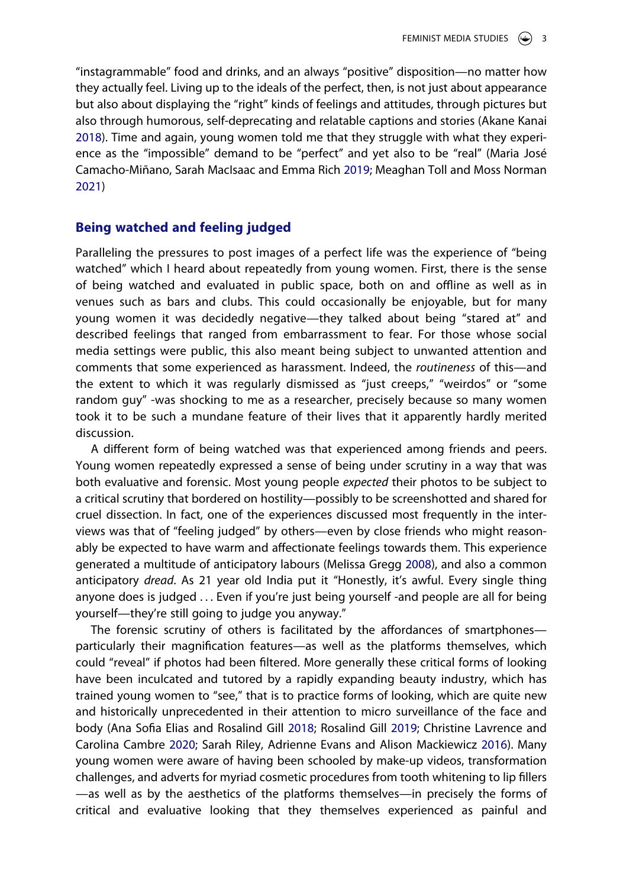<span id="page-3-3"></span>"instagrammable" food and drinks, and an always "positive" disposition—no matter how they actually feel. Living up to the ideals of the perfect, then, is not just about appearance but also about displaying the "right" kinds of feelings and attitudes, through pictures but also through humorous, self-deprecating and relatable captions and stories (Akane Kanai [2018\)](#page-6-4). Time and again, young women told me that they struggle with what they experience as the "impossible" demand to be "perfect" and yet also to be "real" (Maria José Camacho-Miñano, Sarah MacIsaac and Emma Rich [2019;](#page-5-0) Meaghan Toll and Moss Norman [2021\)](#page-6-5)

### <span id="page-3-0"></span>**Being watched and feeling judged**

Paralleling the pressures to post images of a perfect life was the experience of "being watched" which I heard about repeatedly from young women. First, there is the sense of being watched and evaluated in public space, both on and offline as well as in venues such as bars and clubs. This could occasionally be enjoyable, but for many young women it was decidedly negative—they talked about being "stared at" and described feelings that ranged from embarrassment to fear. For those whose social media settings were public, this also meant being subject to unwanted attention and comments that some experienced as harassment. Indeed, the *routineness* of this—and the extent to which it was regularly dismissed as "just creeps," "weirdos" or "some random guy" -was shocking to me as a researcher, precisely because so many women took it to be such a mundane feature of their lives that it apparently hardly merited discussion.

A different form of being watched was that experienced among friends and peers. Young women repeatedly expressed a sense of being under scrutiny in a way that was both evaluative and forensic. Most young people *expected* their photos to be subject to a critical scrutiny that bordered on hostility—possibly to be screenshotted and shared for cruel dissection. In fact, one of the experiences discussed most frequently in the interviews was that of "feeling judged" by others—even by close friends who might reasonably be expected to have warm and affectionate feelings towards them. This experience generated a multitude of anticipatory labours (Melissa Gregg [2008\)](#page-6-6), and also a common anticipatory *dread*. As 21 year old India put it "Honestly, it's awful. Every single thing anyone does is judged . . . Even if you're just being yourself -and people are all for being yourself—they're still going to judge you anyway."

<span id="page-3-4"></span><span id="page-3-2"></span><span id="page-3-1"></span>The forensic scrutiny of others is facilitated by the affordances of smartphones particularly their magnification features—as well as the platforms themselves, which could "reveal" if photos had been filtered. More generally these critical forms of looking have been inculcated and tutored by a rapidly expanding beauty industry, which has trained young women to "see," that is to practice forms of looking, which are quite new and historically unprecedented in their attention to micro surveillance of the face and body (Ana Sofia Elias and Rosalind Gill [2018;](#page-5-1) Rosalind Gill [2019](#page-6-7); Christine Lavrence and Carolina Cambre [2020;](#page-6-8) Sarah Riley, Adrienne Evans and Alison Mackiewicz [2016\)](#page-6-9). Many young women were aware of having been schooled by make-up videos, transformation challenges, and adverts for myriad cosmetic procedures from tooth whitening to lip fillers —as well as by the aesthetics of the platforms themselves—in precisely the forms of critical and evaluative looking that they themselves experienced as painful and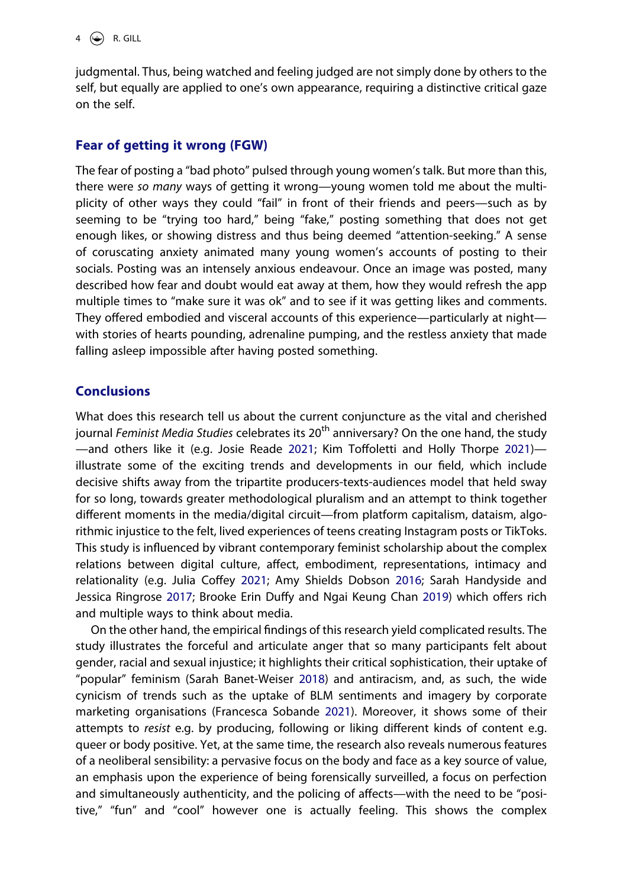judgmental. Thus, being watched and feeling judged are not simply done by others to the self, but equally are applied to one's own appearance, requiring a distinctive critical gaze on the self.

## **Fear of getting it wrong (FGW)**

The fear of posting a "bad photo" pulsed through young women's talk. But more than this, there were *so many* ways of getting it wrong—young women told me about the multiplicity of other ways they could "fail" in front of their friends and peers—such as by seeming to be "trying too hard," being "fake," posting something that does not get enough likes, or showing distress and thus being deemed "attention-seeking." A sense of coruscating anxiety animated many young women's accounts of posting to their socials. Posting was an intensely anxious endeavour. Once an image was posted, many described how fear and doubt would eat away at them, how they would refresh the app multiple times to "make sure it was ok" and to see if it was getting likes and comments. They offered embodied and visceral accounts of this experience—particularly at night with stories of hearts pounding, adrenaline pumping, and the restless anxiety that made falling asleep impossible after having posted something.

## **Conclusions**

<span id="page-4-3"></span>What does this research tell us about the current conjuncture as the vital and cherished journal *Feminist Media Studies* celebrates its 20<sup>th</sup> anniversary? On the one hand, the study —and others like it (e.g. Josie Reade [2021;](#page-6-10) Kim Toffoletti and Holly Thorpe [2021](#page-6-11)) illustrate some of the exciting trends and developments in our field, which include decisive shifts away from the tripartite producers-texts-audiences model that held sway for so long, towards greater methodological pluralism and an attempt to think together different moments in the media/digital circuit—from platform capitalism, dataism, algorithmic injustice to the felt, lived experiences of teens creating Instagram posts or TikToks. This study is influenced by vibrant contemporary feminist scholarship about the complex relations between digital culture, affect, embodiment, representations, intimacy and relationality (e.g. Julia Coffey [2021](#page-5-2); Amy Shields Dobson [2016;](#page-5-3) Sarah Handyside and Jessica Ringrose [2017](#page-6-12); Brooke Erin Duffy and Ngai Keung Chan [2019](#page-5-4)) which offers rich and multiple ways to think about media.

<span id="page-4-4"></span><span id="page-4-2"></span><span id="page-4-1"></span><span id="page-4-0"></span>On the other hand, the empirical findings of this research yield complicated results. The study illustrates the forceful and articulate anger that so many participants felt about gender, racial and sexual injustice; it highlights their critical sophistication, their uptake of "popular" feminism (Sarah Banet-Weiser [2018](#page-5-5)) and antiracism, and, as such, the wide cynicism of trends such as the uptake of BLM sentiments and imagery by corporate marketing organisations (Francesca Sobande [2021\)](#page-6-13). Moreover, it shows some of their attempts to *resist* e.g. by producing, following or liking different kinds of content e.g. queer or body positive. Yet, at the same time, the research also reveals numerous features of a neoliberal sensibility: a pervasive focus on the body and face as a key source of value, an emphasis upon the experience of being forensically surveilled, a focus on perfection and simultaneously authenticity, and the policing of affects—with the need to be "positive," "fun" and "cool" however one is actually feeling. This shows the complex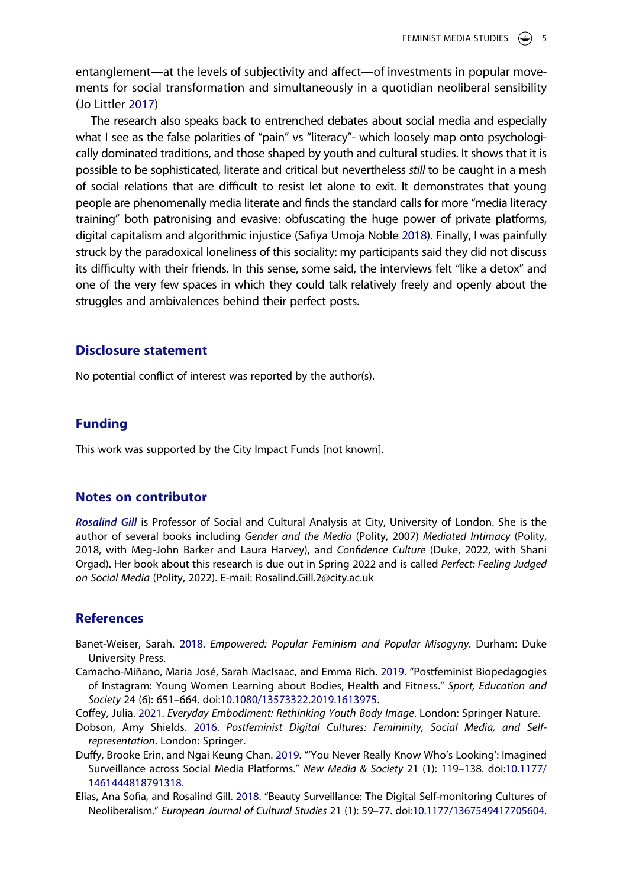entanglement—at the levels of subjectivity and affect—of investments in popular movements for social transformation and simultaneously in a quotidian neoliberal sensibility (Jo Littler [2017](#page-6-14))

<span id="page-5-7"></span><span id="page-5-6"></span>The research also speaks back to entrenched debates about social media and especially what I see as the false polarities of "pain" vs "literacy"- which loosely map onto psychologically dominated traditions, and those shaped by youth and cultural studies. It shows that it is possible to be sophisticated, literate and critical but nevertheless *still* to be caught in a mesh of social relations that are difficult to resist let alone to exit. It demonstrates that young people are phenomenally media literate and finds the standard calls for more "media literacy training" both patronising and evasive: obfuscating the huge power of private platforms, digital capitalism and algorithmic injustice (Safiya Umoja Noble [2018](#page-6-15)). Finally, I was painfully struck by the paradoxical loneliness of this sociality: my participants said they did not discuss its difficulty with their friends. In this sense, some said, the interviews felt "like a detox" and one of the very few spaces in which they could talk relatively freely and openly about the struggles and ambivalences behind their perfect posts.

#### **Disclosure statement**

No potential conflict of interest was reported by the author(s).

#### **Funding**

This work was supported by the City Impact Funds [not known].

#### **Notes on contributor**

*Rosalind Gill* is Professor of Social and Cultural Analysis at City, University of London. She is the author of several books including *Gender and the Media* (Polity, 2007) *Mediated Intimacy* (Polity, 2018, with Meg-John Barker and Laura Harvey), and *Confidence Culture* (Duke, 2022, with Shani Orgad). Her book about this research is due out in Spring 2022 and is called *Perfect: Feeling Judged on Social Media* (Polity, 2022). E-mail: Rosalind.Gill.2@city.ac.uk

#### **References**

- <span id="page-5-5"></span>Banet-Weiser, Sarah. [2018.](#page-4-0) *Empowered: Popular Feminism and Popular Misogyny*. Durham: Duke University Press.
- <span id="page-5-0"></span>Camacho-Miñano, Maria José, Sarah MacIsaac, and Emma Rich. [2019](#page-3-0). "Postfeminist Biopedagogies of Instagram: Young Women Learning about Bodies, Health and Fitness." *Sport, Education and Society* 24 (6): 651–664. doi:[10.1080/13573322.2019.1613975.](https://doi.org/10.1080/13573322.2019.1613975)
- <span id="page-5-2"></span>Coffey, Julia. [2021](#page-4-1). *Everyday Embodiment: Rethinking Youth Body Image*. London: Springer Nature.
- <span id="page-5-3"></span>Dobson, Amy Shields. [2016.](#page-4-1) *Postfeminist Digital Cultures: Femininity, Social Media, and Selfrepresentation*. London: Springer.
- <span id="page-5-4"></span>Duffy, Brooke Erin, and Ngai Keung Chan. [2019.](#page-4-2) "'You Never Really Know Who's Looking': Imagined Surveillance across Social Media Platforms." *New Media & Society* 21 (1): 119–138. doi:[10.1177/](https://doi.org/10.1177/1461444818791318) [1461444818791318.](https://doi.org/10.1177/1461444818791318)
- <span id="page-5-1"></span>Elias, Ana Sofia, and Rosalind Gill. [2018](#page-3-1). "Beauty Surveillance: The Digital Self-monitoring Cultures of Neoliberalism." *European Journal of Cultural Studies* 21 (1): 59–77. doi:[10.1177/1367549417705604](https://doi.org/10.1177/1367549417705604).